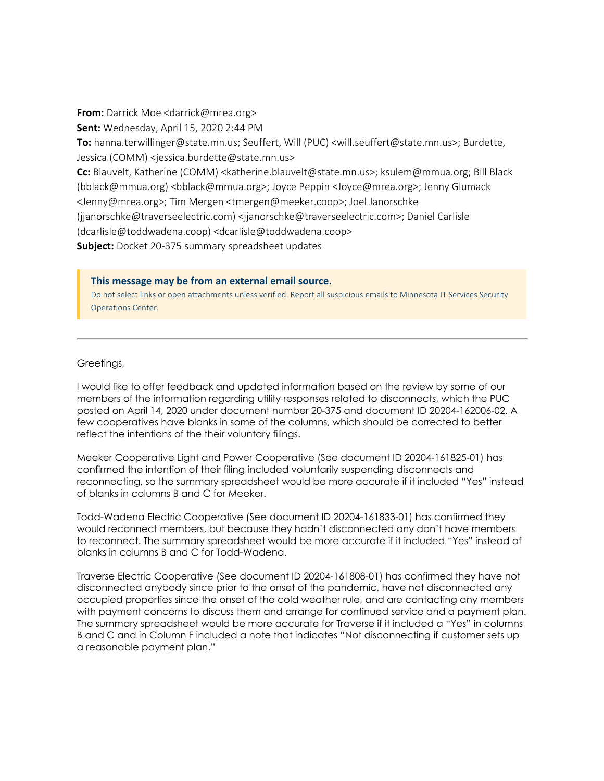**From:** Darrick Moe <darrick@mrea.org> **Sent:** Wednesday, April 15, 2020 2:44 PM **To:** hanna.terwillinger@state.mn.us; Seuffert, Will (PUC) <will.seuffert@state.mn.us>; Burdette, Jessica (COMM) <jessica.burdette@state.mn.us> **Cc:** Blauvelt, Katherine (COMM) <katherine.blauvelt@state.mn.us>; ksulem@mmua.org; Bill Black (bblack@mmua.org) <bblack@mmua.org>; Joyce Peppin <Joyce@mrea.org>; Jenny Glumack <Jenny@mrea.org>; Tim Mergen <tmergen@meeker.coop>; Joel Janorschke (jjanorschke@traverseelectric.com) <jjanorschke@traverseelectric.com>; Daniel Carlisle (dcarlisle@toddwadena.coop) <dcarlisle@toddwadena.coop> **Subject:** Docket 20-375 summary spreadsheet updates

## **This message may be from an external email source.**

Do not select links or open attachments unless verified. Report all suspicious emails to Minnesota IT Services Security Operations Center.

## Greetings,

I would like to offer feedback and updated information based on the review by some of our members of the information regarding utility responses related to disconnects, which the PUC posted on April 14, 2020 under document number 20-375 and document ID 20204-162006-02. A few cooperatives have blanks in some of the columns, which should be corrected to better reflect the intentions of the their voluntary filings.

Meeker Cooperative Light and Power Cooperative (See document ID 20204-161825-01) has confirmed the intention of their filing included voluntarily suspending disconnects and reconnecting, so the summary spreadsheet would be more accurate if it included "Yes" instead of blanks in columns B and C for Meeker.

Todd-Wadena Electric Cooperative (See document ID 20204-161833-01) has confirmed they would reconnect members, but because they hadn't disconnected any don't have members to reconnect. The summary spreadsheet would be more accurate if it included "Yes" instead of blanks in columns B and C for Todd-Wadena.

Traverse Electric Cooperative (See document ID 20204-161808-01) has confirmed they have not disconnected anybody since prior to the onset of the pandemic, have not disconnected any occupied properties since the onset of the cold weather rule, and are contacting any members with payment concerns to discuss them and arrange for continued service and a payment plan. The summary spreadsheet would be more accurate for Traverse if it included a "Yes" in columns B and C and in Column F included a note that indicates "Not disconnecting if customer sets up a reasonable payment plan."